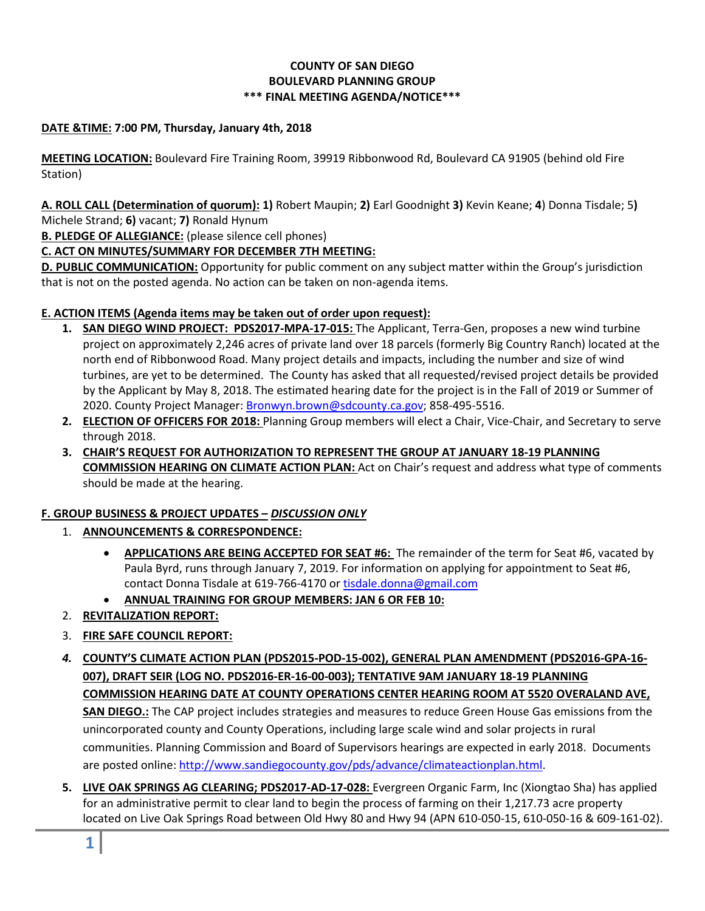# **COUNTY OF SAN DIEGO BOULEVARD PLANNING GROUP \*\*\* FINAL MEETING AGENDA/NOTICE\*\*\***

# **DATE &TIME: 7:00 PM, Thursday, January 4th, 2018**

**MEETING LOCATION:** Boulevard Fire Training Room, 39919 Ribbonwood Rd, Boulevard CA 91905 (behind old Fire Station)

**A. ROLL CALL (Determination of quorum): 1)** Robert Maupin; **2)** Earl Goodnight **3)** Kevin Keane; **4**) Donna Tisdale; 5**)**  Michele Strand; **6)** vacant; **7)** Ronald Hynum

**B. PLEDGE OF ALLEGIANCE:** (please silence cell phones)

# **C. ACT ON MINUTES/SUMMARY FOR DECEMBER 7TH MEETING:**

**D. PUBLIC COMMUNICATION:** Opportunity for public comment on any subject matter within the Group's jurisdiction that is not on the posted agenda. No action can be taken on non-agenda items.

### **E. ACTION ITEMS (Agenda items may be taken out of order upon request):**

- **1. SAN DIEGO WIND PROJECT: PDS2017-MPA-17-015:** The Applicant, Terra-Gen, proposes a new wind turbine project on approximately 2,246 acres of private land over 18 parcels (formerly Big Country Ranch) located at the north end of Ribbonwood Road. Many project details and impacts, including the number and size of wind turbines, are yet to be determined. The County has asked that all requested/revised project details be provided by the Applicant by May 8, 2018. The estimated hearing date for the project is in the Fall of 2019 or Summer of 2020. County Project Manager: [Bronwyn.brown@sdcounty.ca.gov;](mailto:Bronwyn.brown@sdcounty.ca.gov) 858-495-5516.
- **2. ELECTION OF OFFICERS FOR 2018:** Planning Group members will elect a Chair, Vice-Chair, and Secretary to serve through 2018.
- **3. CHAIR'S REQUEST FOR AUTHORIZATION TO REPRESENT THE GROUP AT JANUARY 18-19 PLANNING COMMISSION HEARING ON CLIMATE ACTION PLAN:** Act on Chair's request and address what type of comments should be made at the hearing.

# **F. GROUP BUSINESS & PROJECT UPDATES –** *DISCUSSION ONLY*

- 1. **ANNOUNCEMENTS & CORRESPONDENCE:**
	- **APPLICATIONS ARE BEING ACCEPTED FOR SEAT #6:** The remainder of the term for Seat #6, vacated by Paula Byrd, runs through January 7, 2019. For information on applying for appointment to Seat #6, contact Donna Tisdale at 619-766-4170 or [tisdale.donna@gmail.com](mailto:tisdale.donna@gmail.com)
	- **ANNUAL TRAINING FOR GROUP MEMBERS: JAN 6 OR FEB 10:**
- 2. **REVITALIZATION REPORT:**
- 3. **FIRE SAFE COUNCIL REPORT:**
- *4.* **COUNTY'S CLIMATE ACTION PLAN (PDS2015-POD-15-002), GENERAL PLAN AMENDMENT (PDS2016-GPA-16- 007), DRAFT SEIR (LOG NO. PDS2016-ER-16-00-003); TENTATIVE 9AM JANUARY 18-19 PLANNING COMMISSION HEARING DATE AT COUNTY OPERATIONS CENTER HEARING ROOM AT 5520 OVERALAND AVE, SAN DIEGO.:** The CAP project includes strategies and measures to reduce Green House Gas emissions from the unincorporated county and County Operations, including large scale wind and solar projects in rural communities. Planning Commission and Board of Supervisors hearings are expected in early 2018. Documents are posted online[: http://www.sandiegocounty.gov/pds/advance/climateactionplan.html.](http://www.sandiegocounty.gov/pds/advance/climateactionplan.html)
- **5. LIVE OAK SPRINGS AG CLEARING; PDS2017-AD-17-028:** Evergreen Organic Farm, Inc (Xiongtao Sha) has applied for an administrative permit to clear land to begin the process of farming on their 1,217.73 acre property located on Live Oak Springs Road between Old Hwy 80 and Hwy 94 (APN 610-050-15, 610-050-16 & 609-161-02).